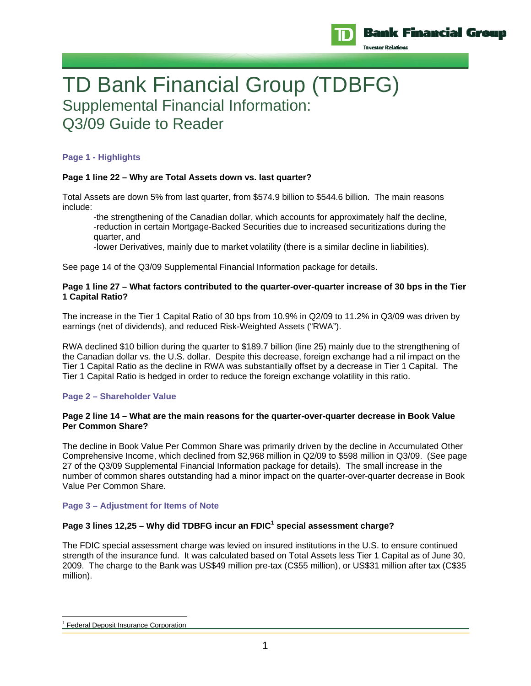

Freestor Relation

# TD Bank Financial Group (TDBFG) Supplemental Financial Information: Q3/09 Guide to Reader

# **Page 1 - Highlights**

# **Page 1 line 22 – Why are Total Assets down vs. last quarter?**

Total Assets are down 5% from last quarter, from \$574.9 billion to \$544.6 billion. The main reasons include:

-the strengthening of the Canadian dollar, which accounts for approximately half the decline, -reduction in certain Mortgage-Backed Securities due to increased securitizations during the quarter, and

-lower Derivatives, mainly due to market volatility (there is a similar decline in liabilities).

See page 14 of the Q3/09 Supplemental Financial Information package for details.

## **Page 1 line 27 – What factors contributed to the quarter-over-quarter increase of 30 bps in the Tier 1 Capital Ratio?**

The increase in the Tier 1 Capital Ratio of 30 bps from 10.9% in Q2/09 to 11.2% in Q3/09 was driven by earnings (net of dividends), and reduced Risk-Weighted Assets ("RWA").

RWA declined \$10 billion during the quarter to \$189.7 billion (line 25) mainly due to the strengthening of the Canadian dollar vs. the U.S. dollar. Despite this decrease, foreign exchange had a nil impact on the Tier 1 Capital Ratio as the decline in RWA was substantially offset by a decrease in Tier 1 Capital. The Tier 1 Capital Ratio is hedged in order to reduce the foreign exchange volatility in this ratio.

# **Page 2 – Shareholder Value**

## **Page 2 line 14 – What are the main reasons for the quarter-over-quarter decrease in Book Value Per Common Share?**

The decline in Book Value Per Common Share was primarily driven by the decline in Accumulated Other Comprehensive Income, which declined from \$2,968 million in Q2/09 to \$598 million in Q3/09. (See page 27 of the Q3/09 Supplemental Financial Information package for details). The small increase in the number of common shares outstanding had a minor impact on the quarter-over-quarter decrease in Book Value Per Common Share.

## **Page 3 – Adjustment for Items of Note**

# Page 3 lines 12,25 – Why did TDBFG incur an FDIC<sup>1</sup> special assessment charge?

The FDIC special assessment charge was levied on insured institutions in the U.S. to ensure continued strength of the insurance fund. It was calculated based on Total Assets less Tier 1 Capital as of June 30, 2009. The charge to the Bank was US\$49 million pre-tax (C\$55 million), or US\$31 million after tax (C\$35 million).

 $\overline{a}$ <sup>1</sup> Federal Deposit Insurance Corporation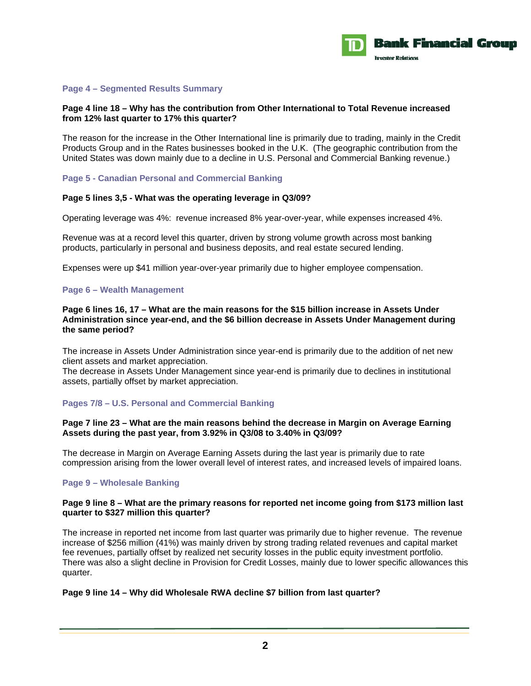

## **Page 4 – Segmented Results Summary**

## **Page 4 line 18 – Why has the contribution from Other International to Total Revenue increased from 12% last quarter to 17% this quarter?**

The reason for the increase in the Other International line is primarily due to trading, mainly in the Credit Products Group and in the Rates businesses booked in the U.K. (The geographic contribution from the United States was down mainly due to a decline in U.S. Personal and Commercial Banking revenue.)

## **Page 5 - Canadian Personal and Commercial Banking**

## **Page 5 lines 3,5 - What was the operating leverage in Q3/09?**

Operating leverage was 4%: revenue increased 8% year-over-year, while expenses increased 4%.

Revenue was at a record level this quarter, driven by strong volume growth across most banking products, particularly in personal and business deposits, and real estate secured lending.

Expenses were up \$41 million year-over-year primarily due to higher employee compensation.

#### **Page 6 – Wealth Management**

**Page 6 lines 16, 17 – What are the main reasons for the \$15 billion increase in Assets Under Administration since year-end, and the \$6 billion decrease in Assets Under Management during the same period?** 

The increase in Assets Under Administration since year-end is primarily due to the addition of net new client assets and market appreciation.

The decrease in Assets Under Management since year-end is primarily due to declines in institutional assets, partially offset by market appreciation.

## **Pages 7/8 – U.S. Personal and Commercial Banking**

#### **Page 7 line 23 – What are the main reasons behind the decrease in Margin on Average Earning Assets during the past year, from 3.92% in Q3/08 to 3.40% in Q3/09?**

The decrease in Margin on Average Earning Assets during the last year is primarily due to rate compression arising from the lower overall level of interest rates, and increased levels of impaired loans.

## **Page 9 – Wholesale Banking**

#### **Page 9 line 8 – What are the primary reasons for reported net income going from \$173 million last quarter to \$327 million this quarter?**

The increase in reported net income from last quarter was primarily due to higher revenue. The revenue increase of \$256 million (41%) was mainly driven by strong trading related revenues and capital market fee revenues, partially offset by realized net security losses in the public equity investment portfolio. There was also a slight decline in Provision for Credit Losses, mainly due to lower specific allowances this quarter.

## **Page 9 line 14 – Why did Wholesale RWA decline \$7 billion from last quarter?**